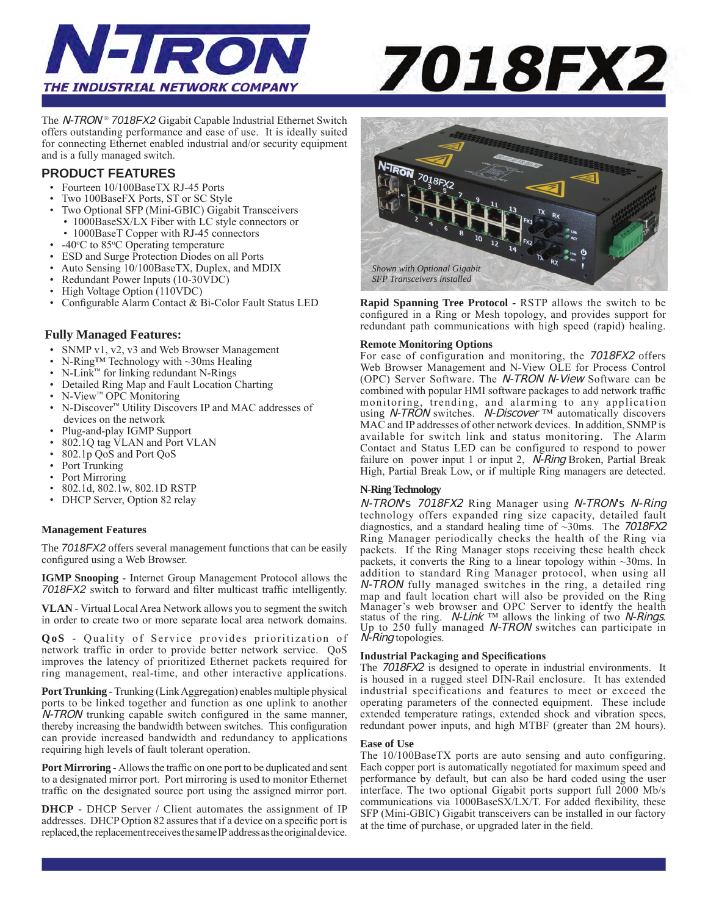

# 7018FX2

The N-TRON *® 7018FX2* Gigabit Capable Industrial Ethernet Switch offers outstanding performance and ease of use. It is ideally suited for connecting Ethernet enabled industrial and/or security equipment and is a fully managed switch.

# **PRODUCT FEATURES**

- Fourteen 10/100BaseTX RJ-45 Ports
- Two 100BaseFX Ports, ST or SC Style
- Two Optional SFP (Mini-GBIC) Gigabit Transceivers • 1000BaseSX/LX Fiber with LC style connectors or
- 1000BaseT Copper with RJ-45 connectors
- $-40^{\circ}$ C to 85 $\circ$ C Operating temperature
- ESD and Surge Protection Diodes on all Ports
- Auto Sensing 10/100BaseTX, Duplex, and MDIX
- Redundant Power Inputs (10-30VDC)
- High Voltage Option (110VDC)
- Configurable Alarm Contact & Bi-Color Fault Status LED

# **Fully Managed Features:**

- SNMP v1, v2, v3 and Web Browser Management
- N-Ring<sup>TM</sup> Technology with ~30ms Healing<br>• N-Link<sup>TM</sup> for linking redundant N-Rings
- N-Link™ for linking redundant N-Rings
- Detailed Ring Map and Fault Location Charting
- N-View™ OPC Monitoring
- N-Discover™ Utility Discovers IP and MAC addresses of devices on the network
- Plug-and-play IGMP Support
- 802.1Q tag VLAN and Port VLAN
- 802.1p QoS and Port QoS
- Port Trunking
- Port Mirroring
- 802.1d, 802.1w, 802.1D RSTP
- DHCP Server, Option 82 relay

## **Management Features**

The *7018FX2* offers several management functions that can be easily configured using a Web Browser.

**IGMP Snooping** - Internet Group Management Protocol allows the *7018FX2* switch to forward and filter multicast traffic intelligently.

**VLAN** - Virtual Local Area Network allows you to segment the switch in order to create two or more separate local area network domains.

**QoS** - Quality of Service provides prioritization of network traffic in order to provide better network service. QoS improves the latency of prioritized Ethernet packets required for ring management, real-time, and other interactive applications.

**Port Trunking** - Trunking (Link Aggregation) enables multiple physical ports to be linked together and function as one uplink to another N-TRON trunking capable switch configured in the same manner, thereby increasing the bandwidth between switches. This configuration can provide increased bandwidth and redundancy to applications requiring high levels of fault tolerant operation.

**Port Mirroring -** Allows the traffic on one port to be duplicated and sent to a designated mirror port. Port mirroring is used to monitor Ethernet traffic on the designated source port using the assigned mirror port.

**DHCP** - DHCP Server / Client automates the assignment of IP addresses. DHCP Option 82 assures that if a device on a specific port is replaced, the replacement receives the same IP address as the original device.



**Rapid Spanning Tree Protocol -** RSTP allows the switch to be configured in a Ring or Mesh topology, and provides support for redundant path communications with high speed (rapid) healing.

### **Remote Monitoring Options**

For ease of configuration and monitoring, the 7018FX2 offers Web Browser Management and N-View OLE for Process Control (OPC) Server Software. The N-TRON N-View Software can be combined with popular HMI software packages to add network traffic monitoring, trending, and alarming to any application using *N-TRON* switches. *N-Discover* ™ automatically discovers MAC and IP addresses of other network devices. In addition, SNMP is available for switch link and status monitoring. The Alarm Contact and Status LED can be configured to respond to power failure on power input 1 or input 2, *N-Ring* Broken, Partial Break High, Partial Break Low, or if multiple Ring managers are detected.

### **N-Ring Technology**

N-TRON's 7018FX2 Ring Manager using N-TRON's N-Ring technology offers expanded ring size capacity, detailed fault diagnostics, and a standard healing time of  $\sim$ 30ms. The 7018FX2 Ring Manager periodically checks the health of the Ring via packets. If the Ring Manager stops receiving these health check packets, it converts the Ring to a linear topology within  $\sim$ 30ms. In addition to standard Ring Manager protocol, when using all N-TRON fully managed switches in the ring, a detailed ring map and fault location chart will also be provided on the Ring Manager's web browser and OPC Server to identfy the health status of the ring.  $N$ -Link <sup>™</sup> allows the linking of two N-Rings. Up to 250 fully managed N-TRON switches can participate in N-Ring topologies.

### **Industrial Packaging and Specifications**

The 7018FX2 is designed to operate in industrial environments. It is housed in a rugged steel DIN-Rail enclosure. It has extended industrial specifications and features to meet or exceed the operating parameters of the connected equipment. These include extended temperature ratings, extended shock and vibration specs, redundant power inputs, and high MTBF (greater than 2M hours).

### **Ease of Use**

The 10/100BaseTX ports are auto sensing and auto configuring. Each copper port is automatically negotiated for maximum speed and performance by default, but can also be hard coded using the user interface. The two optional Gigabit ports support full 2000 Mb/s communications via 1000BaseSX/LX/T. For added flexibility, these SFP (Mini-GBIC) Gigabit transceivers can be installed in our factory at the time of purchase, or upgraded later in the field.